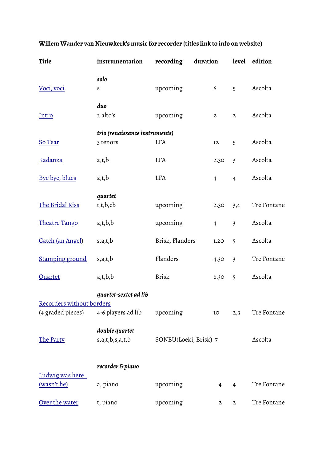| Title                                          | instrumentation                             | recording             | duration       |                         | level edition |  |  |  |
|------------------------------------------------|---------------------------------------------|-----------------------|----------------|-------------------------|---------------|--|--|--|
| Voci, voci                                     | solo<br>$\boldsymbol{S}$                    | upcoming              | 6              | 5                       | Ascolta       |  |  |  |
| <u>Intro</u>                                   | duo<br>2 alto's                             | upcoming              | $\mathbf{2}$   | $\mathbf{2}$            | Ascolta       |  |  |  |
|                                                | trio (renaissance instruments)              |                       |                |                         |               |  |  |  |
| So Tear                                        | 3 tenors                                    | LFA                   | 12             | 5                       | Ascolta       |  |  |  |
| <u>Kadanza</u>                                 | a,t,b                                       | <b>LFA</b>            | 2.30           | $\overline{3}$          | Ascolta       |  |  |  |
| Bye bye, blues                                 | a,t,b                                       | LFA                   | $\overline{4}$ | $\overline{4}$          | Ascolta       |  |  |  |
| The Bridal Kiss                                | quartet<br>t,t,b,cb                         | upcoming              | 2.30           | 3,4                     | Tre Fontane   |  |  |  |
| Theatre Tango                                  | a,t,b,b                                     | upcoming              | $\overline{4}$ | $\overline{\mathbf{3}}$ | Ascolta       |  |  |  |
| Catch (an Angel)                               | s,a,t,b                                     | Brisk, Flanders       | 1.20           | 5                       | Ascolta       |  |  |  |
| <b>Stamping ground</b>                         | s,a,t,b                                     | Flanders              | 4.30           | $\overline{\mathbf{3}}$ | Tre Fontane   |  |  |  |
| Quartet                                        | a,t,b,b                                     | <b>Brisk</b>          | 6.30           | 5                       | Ascolta       |  |  |  |
| Recorders without borders<br>(4 graded pieces) | quartet-sextet ad lib<br>4-6 players ad lib | upcoming              | 10             | 2,3                     | Tre Fontane   |  |  |  |
|                                                |                                             |                       |                |                         |               |  |  |  |
| The Party                                      | double quartet<br>s,a,t,b,s,a,t,b           | SONBU(Loeki, Brisk) 7 |                | Ascolta                 |               |  |  |  |
|                                                | recorder & piano                            |                       |                |                         |               |  |  |  |
| Ludwig was here<br><u>(wasn't he)</u>          | a, piano                                    | upcoming              | $\overline{4}$ | $\overline{4}$          | Tre Fontane   |  |  |  |
| Over the water                                 | t, piano                                    | upcoming              | $\mathbf 2$    | $\mathbf{2}$            | Tre Fontane   |  |  |  |

## **Willem Wander van Nieuwkerk's music for recorder (titles link to info on website)**